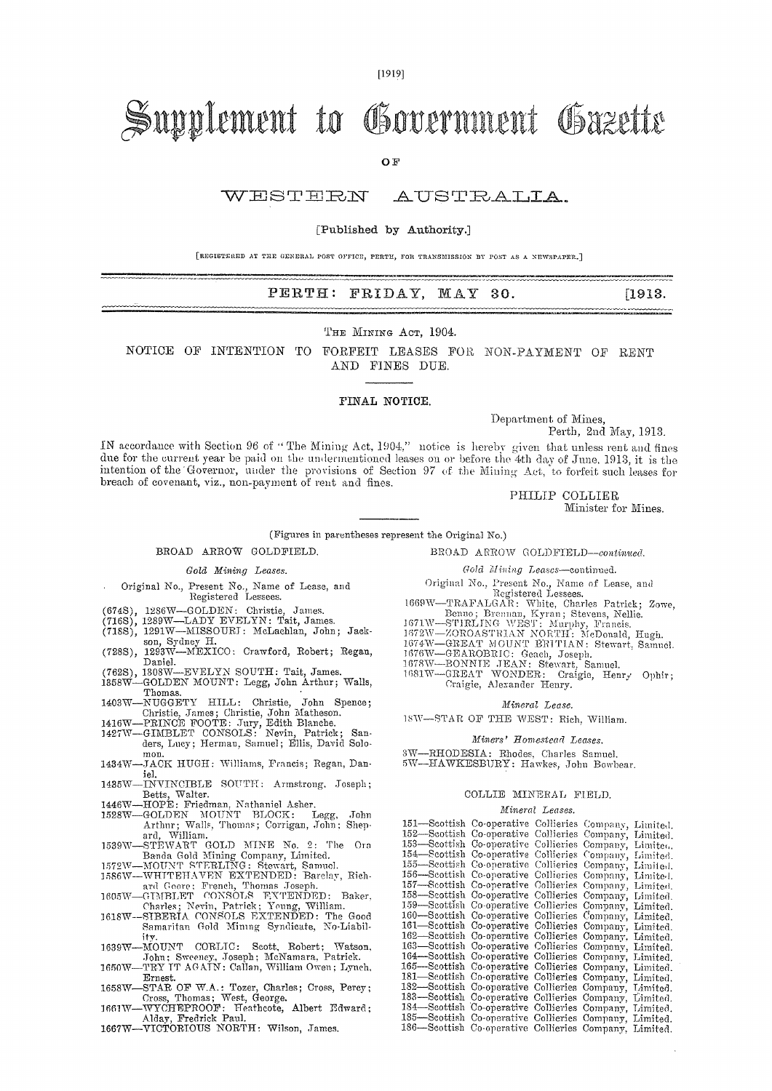[1919]

# Supplement to Government Gazette

O<sub>F</sub>

WESTERN AUSTRALIA.

#### [Published by Authority.]

[REGISTERED AT THE GENERAL. POST OFFICE, PERTH, FOR TRANSMISSION ST POST AS A NEWSPAPER.]

## PERTH: FRIDAY, MAY 30. [1913.]

THE MINING ACT, 1904.

NOTICE OF INTENTION TO FORFEIT LEASES FOR NON-PAYMENT OF RENT AND FINES DUE.

### FINAL NOTICE,

Department of Mines,

Perth, 2nd May, 1913.

IN accordance with Section 96 of " The Mining Act, 1904." notice is hereby given that unless rent and fines due for the current year be paid on the undermentioned leases on or before the 4th day of June, 1913, it is the intention of the 'Governor, under the provisions of Section 97 of the Mining Act, to forfeit such leases for breach of covenant, viz., non-payment of rent and fines.

PHILIP COLLIER

Minister for Mines.

#### (Figures in parentheses represent the Original No.)

BROAD ARROW GOLDFIELD.

#### *Gold Mining Leases.*

- Original No., Present No., Name of Lease, and Registered Lessees.
- 
- 
- (674S), 1286W—GOLDEN: Christie, James. (716S), 1289W—LADY EVELYN: Tait, James. (718S), 1291W—MISSOURT: McLachlan, John; Jack-
- son Sydney H. (728S), 1293W—MEXICO: Crawford, Robert; Regan, Daniel.
- 
- (762S), 1308W—EVELYN SOUTH: Tait, James. 1358W—GOLDEN MOUNT: Legg, John Arthur; Walls,
- 
- Thomas.<br>1403W—NUGGETY HILL: Christie, John Spence;<br>Christie, John Matheson.<br>1416W—PRINCE FOOTE: Jury, Edith Blanche.<br>1427W—GIMBLET CONSOLS: Nevin, Patrick; Sanders, Lucy; Herman, Samuel; Ellis, David Solomon.
- 1434W—JACK HUGH: Williams, Francis; Regan, Daniel.<br>-INVINCIBLE SOUTH: Armstrong, Joseph;
- 1435W—INVINCIBLE SOUTH: Armstrong, Toseph;
- 
- Betts, Walter. 1446W—HOPE: Friedman, Nathaniel Asher. 1528W—GOLDEN MOUNT BLOCK: Legg, John Arthur; Walls, Thomas; Corrigan, John; Shep-
- ard, William.<br>
1539W—STEWART GOLD MINE No. 2: The Ora<br>
Banda Gold Mining Company, Limited.<br>
1572W—MOUNT STERLING: Stewart, Samuel.<br>
1586W—WHITEHAVEN EXTENDED: Barelay, Rich-<br>
2016 Core: French, Thomas Joseph.<br>
1605W—GIMBLE
- 
- 
- 
- 1618W—SIBERTA. CONSOLS EXTENDED: The Good Samaritan Gold Mining Syndicate, No-Liability. 1.639W—MOUNT CORLTC: Scott, Robert; Watson,
- 
- John; Sweeney, Joseph; McNamara, Patrick. 1650W—TRY TT AGAIN: Callan, William Owen; Lynch, Ernest.
- 1658W-STAR OF W.A.: Tozer, Charles; Cross, Percy;
- Cross, Thomas; West, George. 1661W—WYCHEPROOF: Heathcote, Albert Edward; Alday, Fredrick Paul. 1667W—VICTORIOUS NORTH: Wilson, Tames.
- 

BROAD ARROW GOLDFIELD-continued.

*Gold Mining Leases—continued.* 

- Original No., Present No., Name of Lease, and Registered Lessees.
- 1669W—TRAFALGAR: White, Charles Patrick; Zowe,<br>
Benno; Brennan, Kyran; Stevens, Nellie.<br>
1671W—STIRLING WEST: Murphy, Francis.<br>
1672W—ZOROASTRIAN NORTH: MeDonald, Hagh.<br>
1674W—GREAT MOUNT BRITIAN: Stewart, Samuel.<br>
1676W—G
- 
- 
- 
- 
- 1681W—GREAT WONDER: Craigie, Henry Ophir; Craigie, Alexander Henry.
	- *Mineral Lease.*

*15W—STAR* OF THE WEST: Rich, William.

- *Miners' Homestead Leases.*
- *SW—RHODESIA:* Rhodes, Charles Samuel. 5W-HAWKESBURY: Hawkes, John Bowbear.

#### COLLIE MINERAL FIELD.

#### *Mineral Leases.*

| 151-Scottish Co-operative Collieries Company, Limited.  |  |  |
|---------------------------------------------------------|--|--|
| 152-Seottish Co-operative Collieries Company, Limited.  |  |  |
| 153—Seottish Co-operative Collieries Company, Limited.  |  |  |
| 154—Seottish Co-operative Collieries Company, Limited.  |  |  |
| 155-Scottish Co-operative Collieries Company, Limited.  |  |  |
| 156—Seottish Co-operative Collieries Company, Limite-1. |  |  |
| 157-Seottish Co-operative Collieries Company, Limited.  |  |  |
| 158-Seottish Co-operative Collieries Company, Limited.  |  |  |
| 159-Seottish Co-operative Collieries Company, Limited.  |  |  |
| 160—Scottish Co-operative Collieries Company, Limited.  |  |  |
| 161-Scottish Co-operative Collieries Company, Limited.  |  |  |
| 162—Seottish Co-operative Collieries Company, Limited.  |  |  |
| 163—Scottish Co-operative Collieries Company, Limited.  |  |  |
| 164-Seottish Co-operative Collieries Company, Limited.  |  |  |
| 165—Seottish Co-operative Collieries Company, Limited.  |  |  |
| 181—Scottish Co-operative Collieries Company, Limited.  |  |  |
| 182—Scottish Co-operative Collieries Company, Limited.  |  |  |
| 183-Scottish Co-operative Collieries Company, Limited.  |  |  |
| 184—Scottish Co-operative Collieries Company, Limited.  |  |  |
| 185—Scottish Co-operative Collieries Company, Limited.  |  |  |
| 186—Scottish Co-operative Collieries Company, Limited.  |  |  |